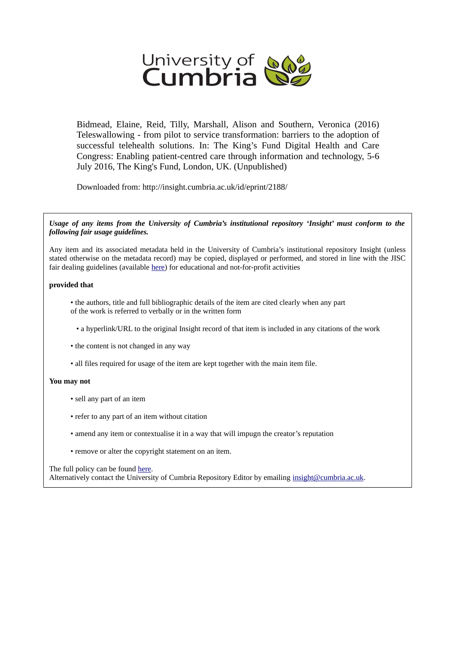

Bidmead, Elaine, Reid, Tilly, Marshall, Alison and Southern, Veronica (2016) Teleswallowing - from pilot to service transformation: barriers to the adoption of successful telehealth solutions. In: The King's Fund Digital Health and Care Congress: Enabling patient-centred care through information and technology, 5-6 July 2016, The King's Fund, London, UK. (Unpublished)

Downloaded from: http://insight.cumbria.ac.uk/id/eprint/2188/

*Usage of any items from the University of Cumbria's institutional repository 'Insight' must conform to the following fair usage guidelines.*

Any item and its associated metadata held in the University of Cumbria's institutional repository Insight (unless stated otherwise on the metadata record) may be copied, displayed or performed, and stored in line with the JISC fair dealing guidelines (available [here\)](http://www.ukoln.ac.uk/services/elib/papers/pa/fair/) for educational and not-for-profit activities

### **provided that**

- the authors, title and full bibliographic details of the item are cited clearly when any part of the work is referred to verbally or in the written form
	- a hyperlink/URL to the original Insight record of that item is included in any citations of the work
- the content is not changed in any way
- all files required for usage of the item are kept together with the main item file.

### **You may not**

- sell any part of an item
- refer to any part of an item without citation
- amend any item or contextualise it in a way that will impugn the creator's reputation
- remove or alter the copyright statement on an item.

The full policy can be found [here.](http://insight.cumbria.ac.uk/legal.html#section5)

Alternatively contact the University of Cumbria Repository Editor by emailing [insight@cumbria.ac.uk.](mailto:insight@cumbria.ac.uk)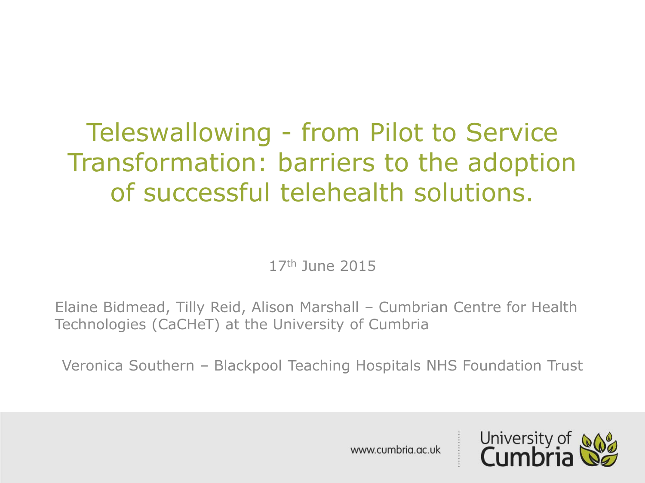## Teleswallowing - from Pilot to Service Transformation: barriers to the adoption of successful telehealth solutions.

17th June 2015

Elaine Bidmead, Tilly Reid, Alison Marshall – Cumbrian Centre for Health Technologies (CaCHeT) at the University of Cumbria

Veronica Southern – Blackpool Teaching Hospitals NHS Foundation Trust

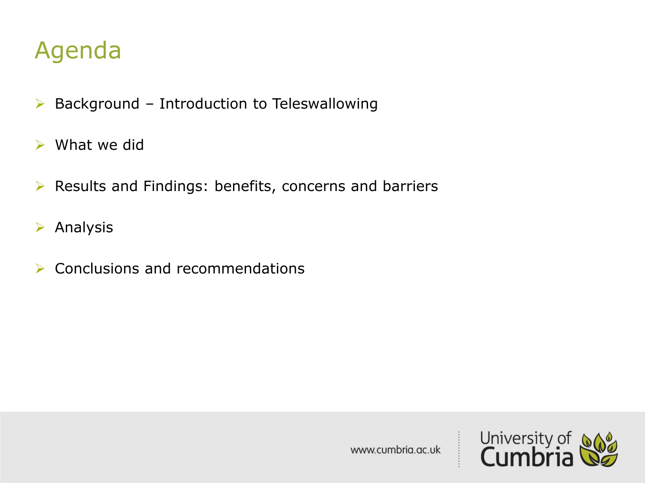## Agenda

- $\triangleright$  Background Introduction to Teleswallowing
- $\triangleright$  What we did
- $\triangleright$  Results and Findings: benefits, concerns and barriers
- $\triangleright$  Analysis
- $\triangleright$  Conclusions and recommendations

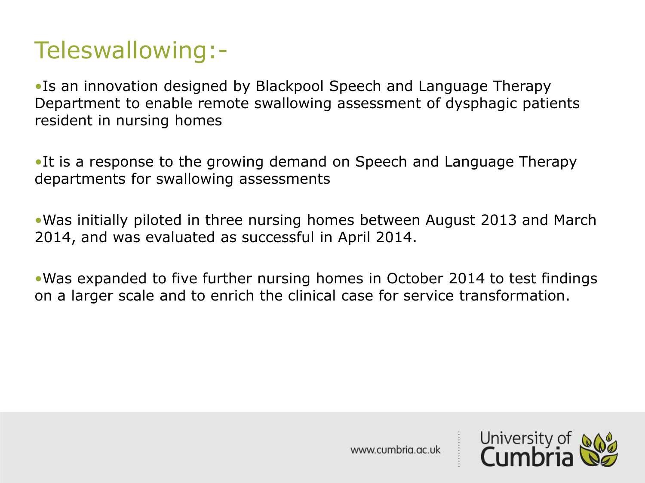## Teleswallowing:-

•Is an innovation designed by Blackpool Speech and Language Therapy Department to enable remote swallowing assessment of dysphagic patients resident in nursing homes

•It is a response to the growing demand on Speech and Language Therapy departments for swallowing assessments

•Was initially piloted in three nursing homes between August 2013 and March 2014, and was evaluated as successful in April 2014.

•Was expanded to five further nursing homes in October 2014 to test findings on a larger scale and to enrich the clinical case for service transformation.

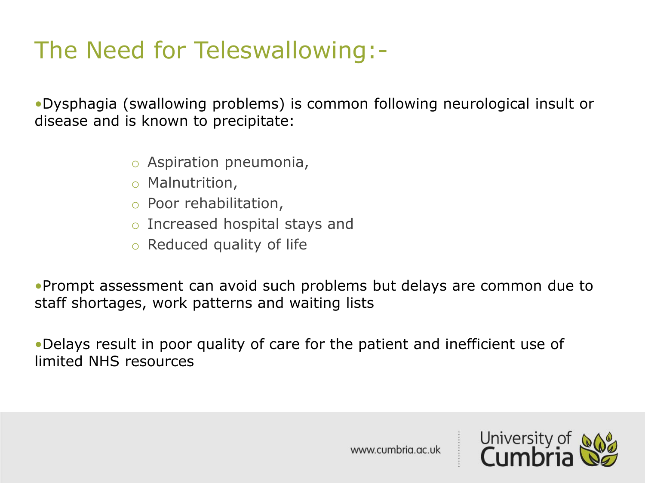## The Need for Teleswallowing:-

•Dysphagia (swallowing problems) is common following neurological insult or disease and is known to precipitate:

- o Aspiration pneumonia,
- o Malnutrition,
- o Poor rehabilitation,
- o Increased hospital stays and
- o Reduced quality of life

•Prompt assessment can avoid such problems but delays are common due to staff shortages, work patterns and waiting lists

•Delays result in poor quality of care for the patient and inefficient use of limited NHS resources

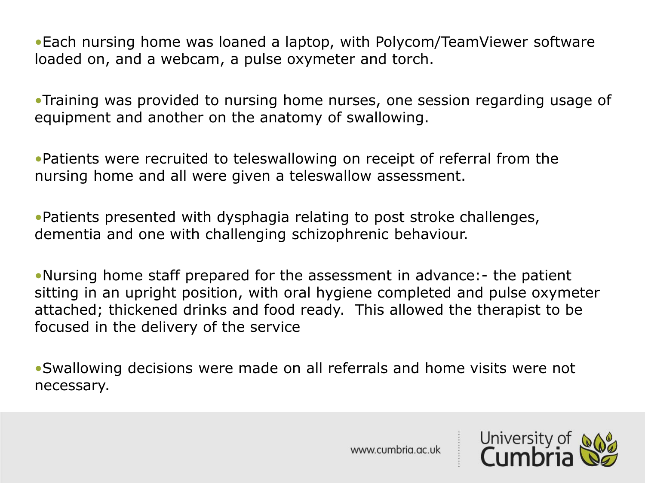•Each nursing home was loaned a laptop, with Polycom/TeamViewer software loaded on, and a webcam, a pulse oxymeter and torch.

•Training was provided to nursing home nurses, one session regarding usage of equipment and another on the anatomy of swallowing.

•Patients were recruited to teleswallowing on receipt of referral from the nursing home and all were given a teleswallow assessment.

•Patients presented with dysphagia relating to post stroke challenges, dementia and one with challenging schizophrenic behaviour.

•Nursing home staff prepared for the assessment in advance:- the patient sitting in an upright position, with oral hygiene completed and pulse oxymeter attached; thickened drinks and food ready. This allowed the therapist to be focused in the delivery of the service

•Swallowing decisions were made on all referrals and home visits were not necessary.

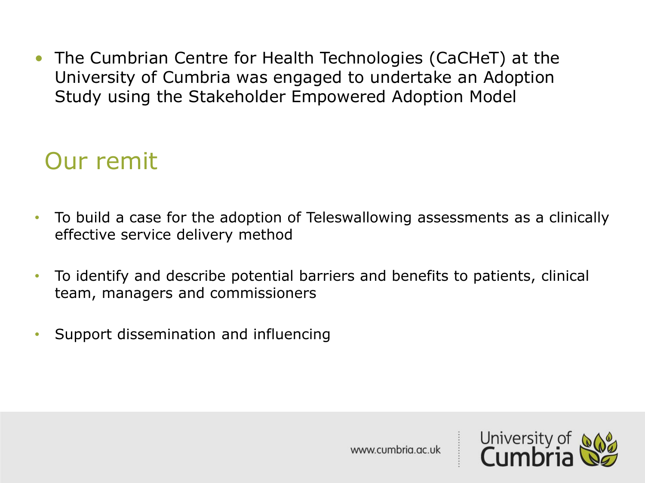• The Cumbrian Centre for Health Technologies (CaCHeT) at the University of Cumbria was engaged to undertake an Adoption Study using the Stakeholder Empowered Adoption Model

## Our remit

- To build a case for the adoption of Teleswallowing assessments as a clinically effective service delivery method
- To identify and describe potential barriers and benefits to patients, clinical team, managers and commissioners
- Support dissemination and influencing

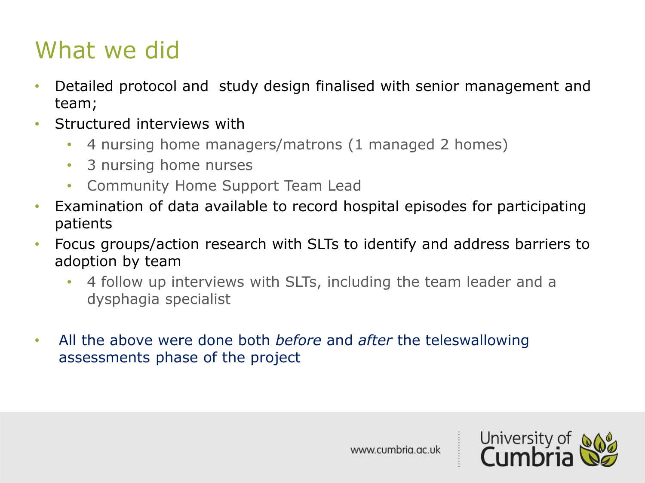## What we did

- Detailed protocol and study design finalised with senior management and team;
- Structured interviews with
	- 4 nursing home managers/matrons (1 managed 2 homes)
	- 3 nursing home nurses
	- Community Home Support Team Lead
- Examination of data available to record hospital episodes for participating patients
- Focus groups/action research with SLTs to identify and address barriers to adoption by team
	- 4 follow up interviews with SLTs, including the team leader and a dysphagia specialist
- All the above were done both *before* and *after* the teleswallowing assessments phase of the project

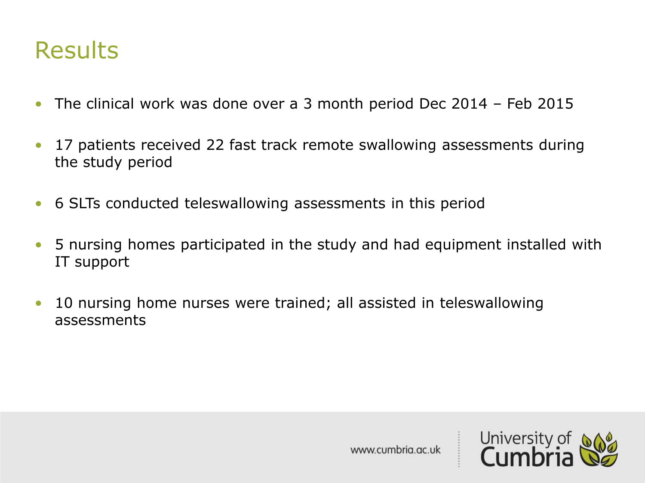### **Results**

- The clinical work was done over a 3 month period Dec 2014 Feb 2015
- 17 patients received 22 fast track remote swallowing assessments during the study period
- 6 SLTs conducted teleswallowing assessments in this period
- 5 nursing homes participated in the study and had equipment installed with IT support
- 10 nursing home nurses were trained; all assisted in teleswallowing assessments

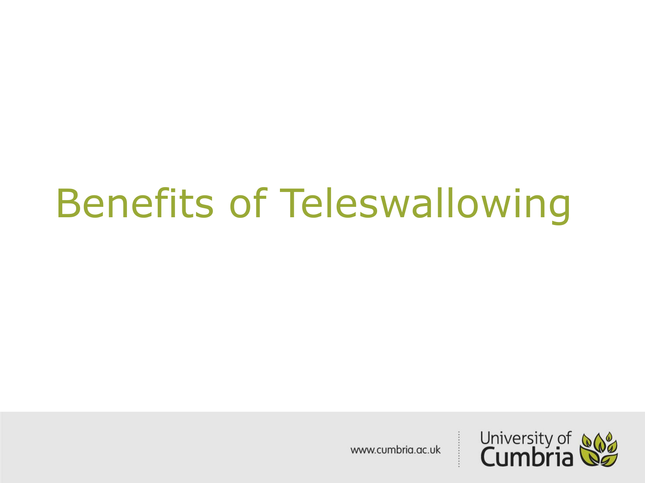## Benefits of Teleswallowing

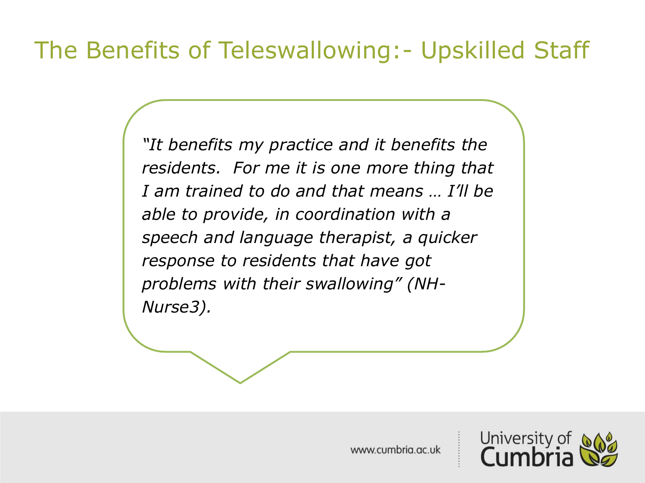## The Benefits of Teleswallowing:- Upskilled Staff

*"It benefits my practice and it benefits the residents. For me it is one more thing that I am trained to do and that means … I'll be able to provide, in coordination with a speech and language therapist, a quicker response to residents that have got problems with their swallowing" (NH-Nurse3).*

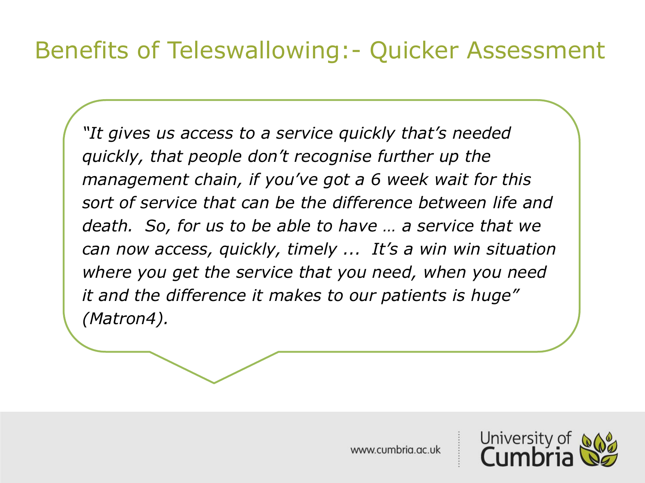## Benefits of Teleswallowing:- Quicker Assessment

*"It gives us access to a service quickly that's needed quickly, that people don't recognise further up the management chain, if you've got a 6 week wait for this sort of service that can be the difference between life and death. So, for us to be able to have … a service that we can now access, quickly, timely ... It's a win win situation where you get the service that you need, when you need it and the difference it makes to our patients is huge" (Matron4).*

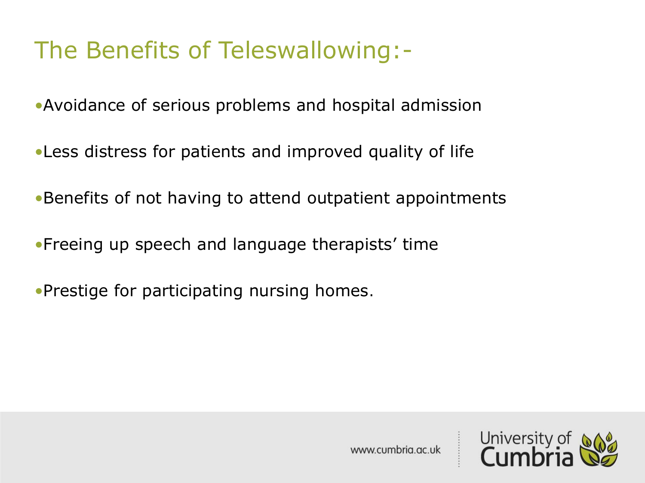## The Benefits of Teleswallowing:-

•Avoidance of serious problems and hospital admission

•Less distress for patients and improved quality of life

•Benefits of not having to attend outpatient appointments

•Freeing up speech and language therapists' time

•Prestige for participating nursing homes.

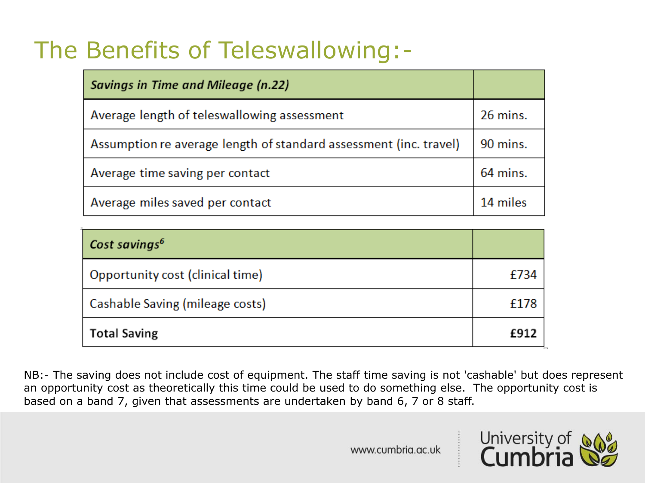## The Benefits of Teleswallowing:-

| Savings in Time and Mileage (n.22)                                |          |
|-------------------------------------------------------------------|----------|
| Average length of teleswallowing assessment                       | 26 mins. |
| Assumption re average length of standard assessment (inc. travel) | 90 mins. |
| Average time saving per contact                                   | 64 mins. |
| Average miles saved per contact                                   | 14 miles |

| Cost savings <sup>6</sup>        |             |
|----------------------------------|-------------|
| Opportunity cost (clinical time) | £734        |
| Cashable Saving (mileage costs)  | £178        |
| <b>Total Saving</b>              | <b>£912</b> |

NB:- The saving does not include cost of equipment. The staff time saving is not 'cashable' but does represent an opportunity cost as theoretically this time could be used to do something else. The opportunity cost is based on a band 7, given that assessments are undertaken by band 6, 7 or 8 staff.

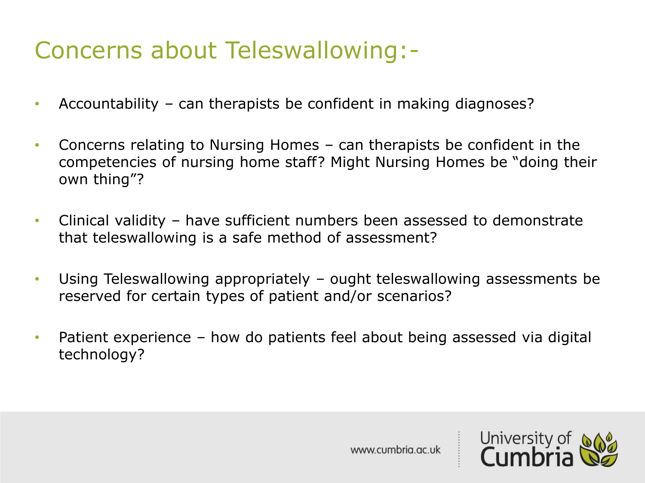## Concerns about Teleswallowing:-

- Accountability can therapists be confident in making diagnoses?
- Concerns relating to Nursing Homes can therapists be confident in the competencies of nursing home staff? Might Nursing Homes be "doing their own thing"?
- Clinical validity have sufficient numbers been assessed to demonstrate that teleswallowing is a safe method of assessment?
- Using Teleswallowing appropriately ought teleswallowing assessments be reserved for certain types of patient and/or scenarios?
- Patient experience how do patients feel about being assessed via digital technology?

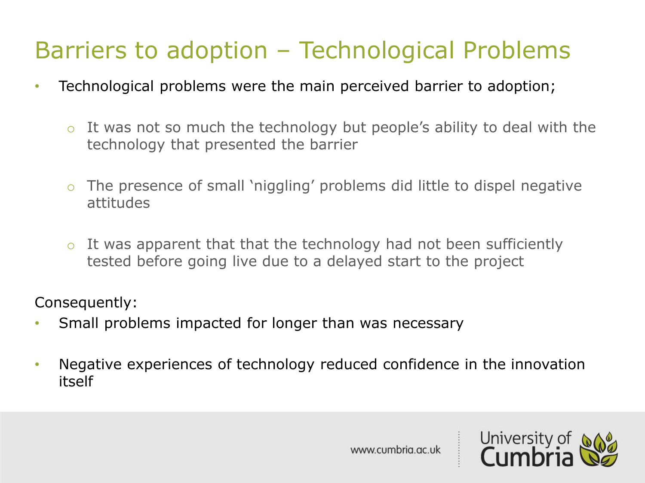## Barriers to adoption – Technological Problems

- Technological problems were the main perceived barrier to adoption;
	- $\circ$  It was not so much the technology but people's ability to deal with the technology that presented the barrier
	- o The presence of small 'niggling' problems did little to dispel negative attitudes
	- $\circ$  It was apparent that that the technology had not been sufficiently tested before going live due to a delayed start to the project

Consequently:

- Small problems impacted for longer than was necessary
- Negative experiences of technology reduced confidence in the innovation itself

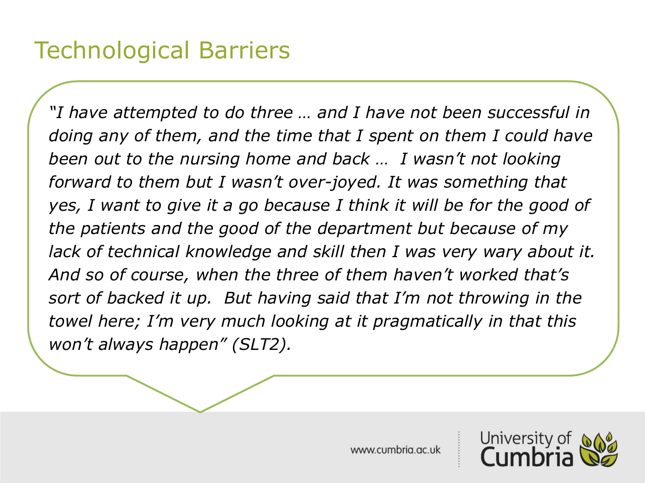*"I have attempted to do three … and I have not been successful in doing any of them, and the time that I spent on them I could have been out to the nursing home and back … I wasn't not looking forward to them but I wasn't over-joyed. It was something that yes, I want to give it a go because I think it will be for the good of the patients and the good of the department but because of my lack of technical knowledge and skill then I was very wary about it. And so of course, when the three of them haven't worked that's sort of backed it up. But having said that I'm not throwing in the towel here; I'm very much looking at it pragmatically in that this won't always happen" (SLT2).*

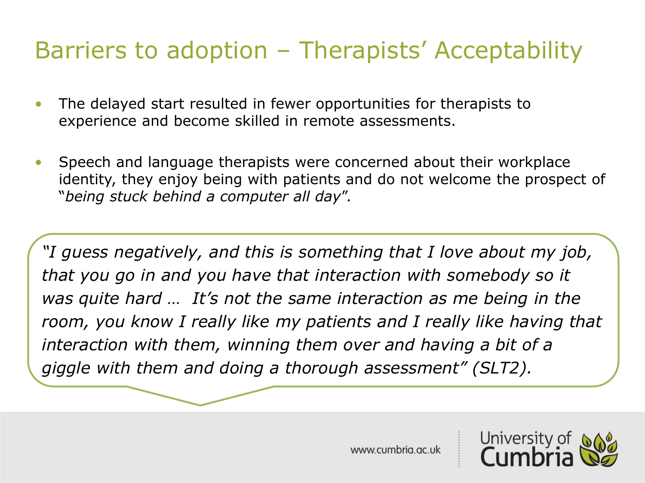## Barriers to adoption – Therapists' Acceptability

- The delayed start resulted in fewer opportunities for therapists to experience and become skilled in remote assessments.
- Speech and language therapists were concerned about their workplace identity, they enjoy being with patients and do not welcome the prospect of "*being stuck behind a computer all day*".

*"I guess negatively, and this is something that I love about my job, that you go in and you have that interaction with somebody so it was quite hard … It's not the same interaction as me being in the room, you know I really like my patients and I really like having that interaction with them, winning them over and having a bit of a giggle with them and doing a thorough assessment" (SLT2).*

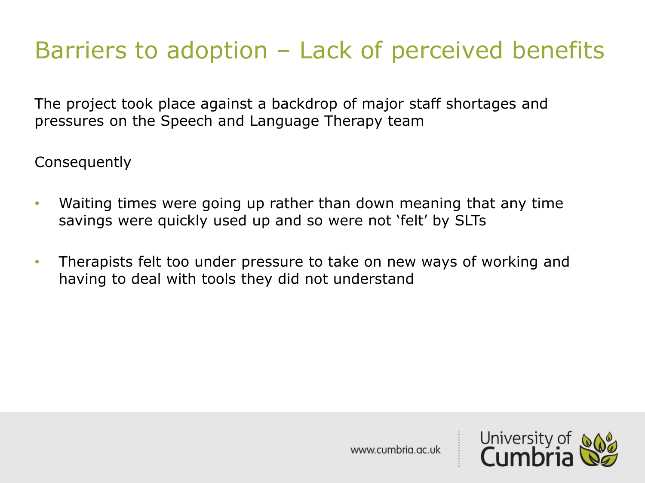## Barriers to adoption – Lack of perceived benefits

The project took place against a backdrop of major staff shortages and pressures on the Speech and Language Therapy team

Consequently

- Waiting times were going up rather than down meaning that any time savings were quickly used up and so were not 'felt' by SLTs
- Therapists felt too under pressure to take on new ways of working and having to deal with tools they did not understand

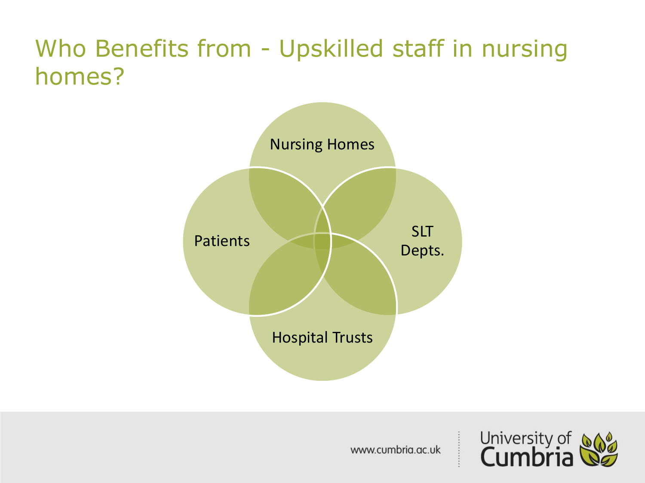## Who Benefits from - Upskilled staff in nursing homes?



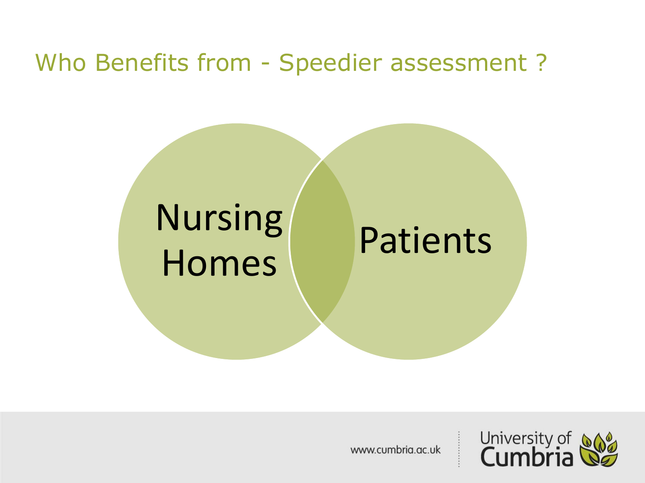### Who Benefits from - Speedier assessment ?

## Nursing Homes Patients

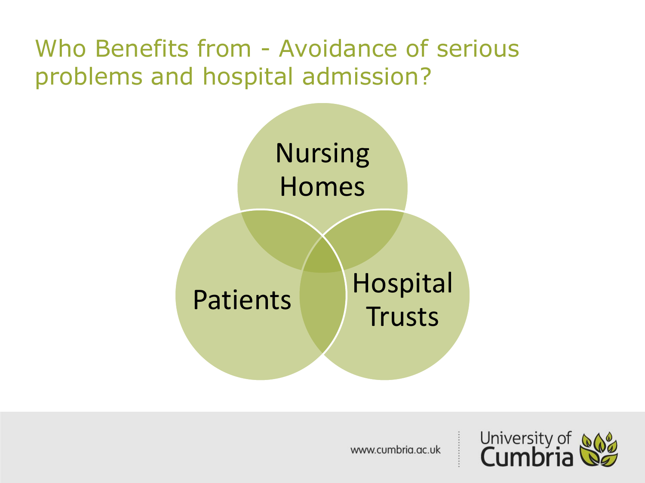## Who Benefits from - Avoidance of serious problems and hospital admission?



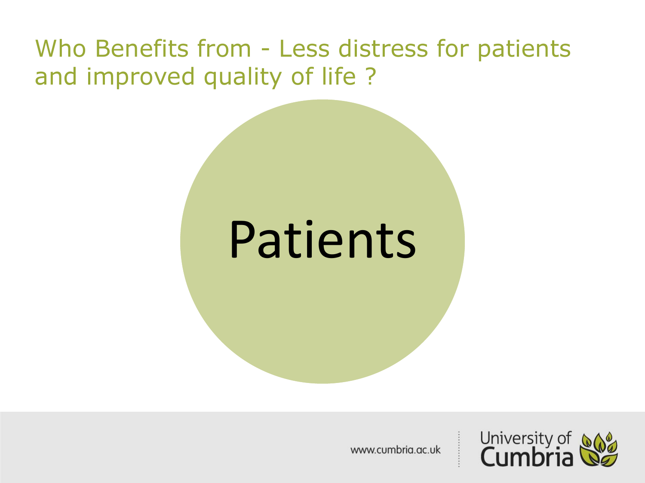## Who Benefits from - Less distress for patients and improved quality of life ?

## Patients

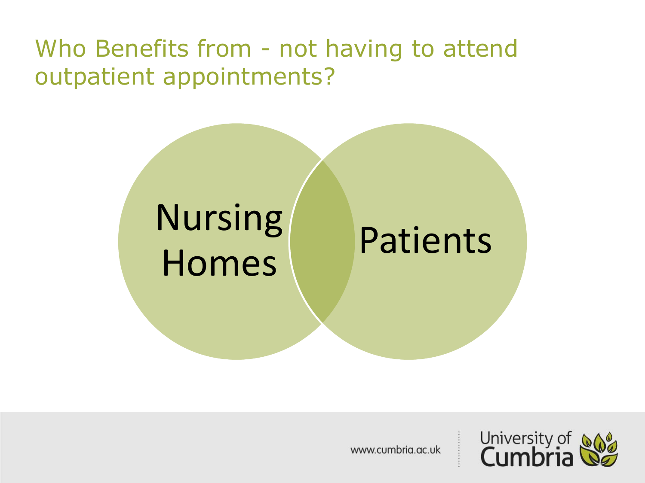## Who Benefits from - not having to attend outpatient appointments?

## Nursing Homes Patients

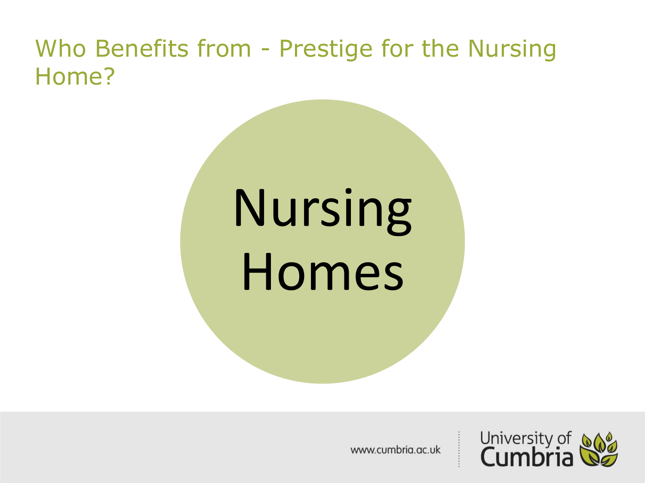## Who Benefits from - Prestige for the Nursing Home?

# Nursing Homes

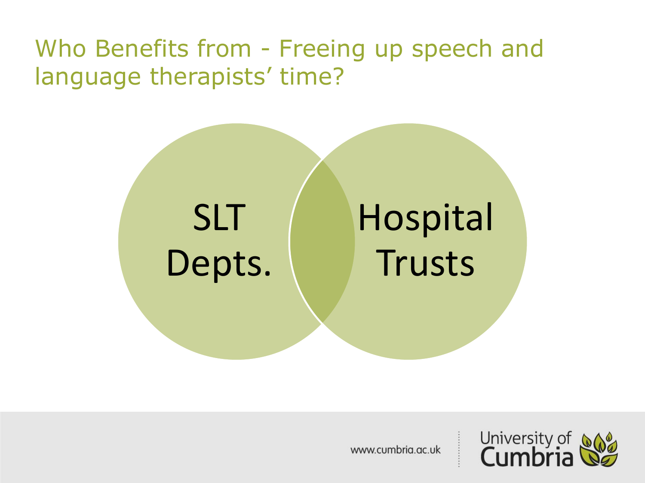## Who Benefits from - Freeing up speech and language therapists' time?



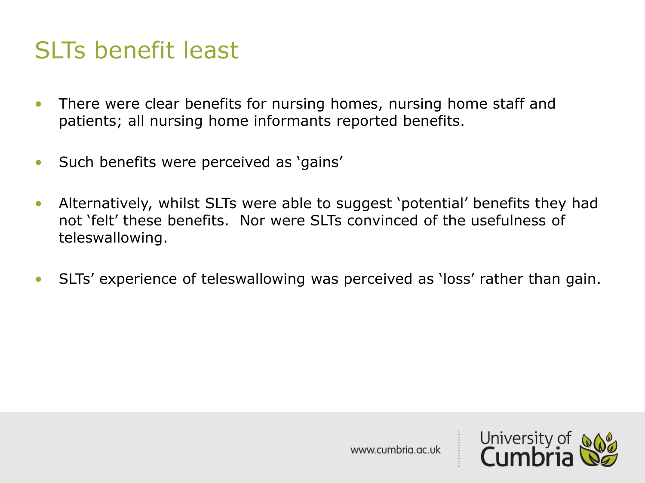## SLTs benefit least

- There were clear benefits for nursing homes, nursing home staff and patients; all nursing home informants reported benefits.
- Such benefits were perceived as 'gains'
- Alternatively, whilst SLTs were able to suggest 'potential' benefits they had not 'felt' these benefits. Nor were SLTs convinced of the usefulness of teleswallowing.
- SLTs' experience of teleswallowing was perceived as 'loss' rather than gain.

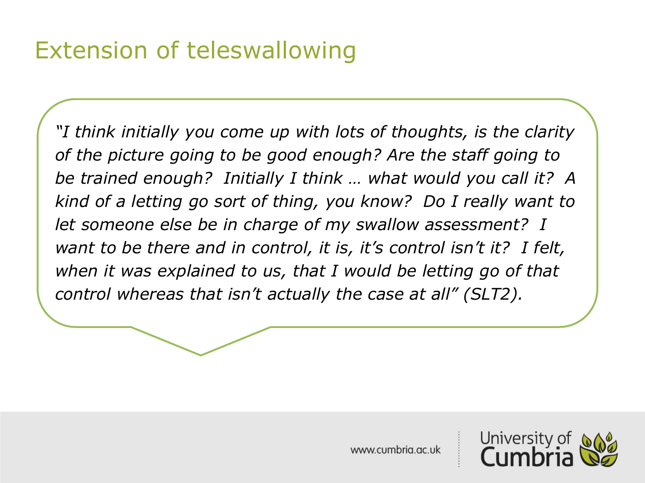## Extension of teleswallowing

*"I think initially you come up with lots of thoughts, is the clarity of the picture going to be good enough? Are the staff going to be trained enough? Initially I think … what would you call it? A kind of a letting go sort of thing, you know? Do I really want to let someone else be in charge of my swallow assessment? I want to be there and in control, it is, it's control isn't it? I felt, when it was explained to us, that I would be letting go of that control whereas that isn't actually the case at all" (SLT2).*

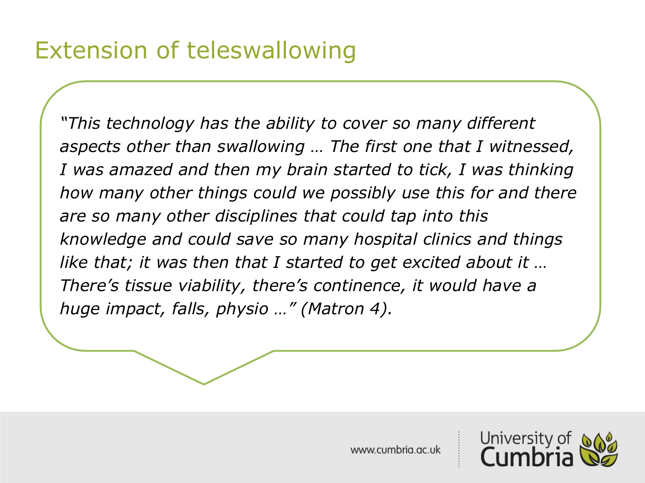*"This technology has the ability to cover so many different aspects other than swallowing … The first one that I witnessed, I was amazed and then my brain started to tick, I was thinking how many other things could we possibly use this for and there are so many other disciplines that could tap into this knowledge and could save so many hospital clinics and things like that; it was then that I started to get excited about it … There's tissue viability, there's continence, it would have a huge impact, falls, physio …" (Matron 4).*

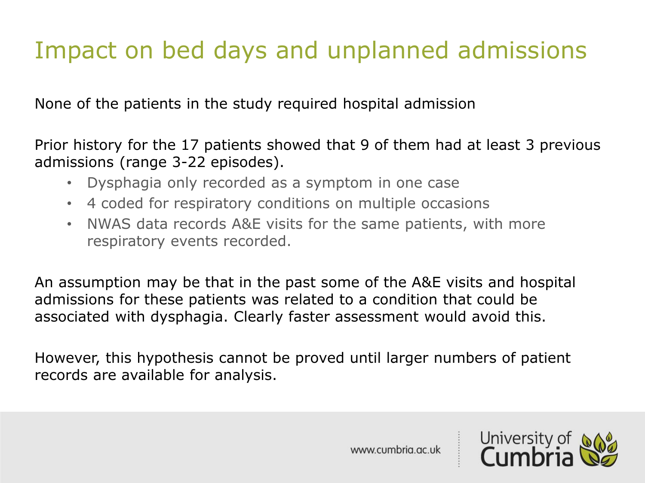## Impact on bed days and unplanned admissions

None of the patients in the study required hospital admission

Prior history for the 17 patients showed that 9 of them had at least 3 previous admissions (range 3-22 episodes).

- Dysphagia only recorded as a symptom in one case
- 4 coded for respiratory conditions on multiple occasions
- NWAS data records A&E visits for the same patients, with more respiratory events recorded.

An assumption may be that in the past some of the A&E visits and hospital admissions for these patients was related to a condition that could be associated with dysphagia. Clearly faster assessment would avoid this.

However, this hypothesis cannot be proved until larger numbers of patient records are available for analysis.

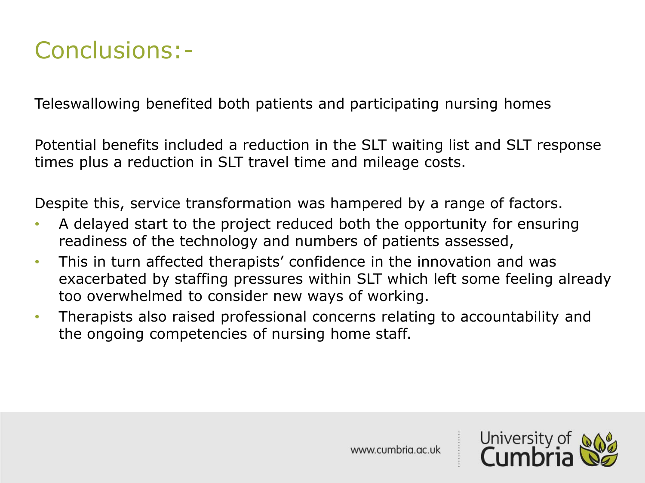## Conclusions:-

Teleswallowing benefited both patients and participating nursing homes

Potential benefits included a reduction in the SLT waiting list and SLT response times plus a reduction in SLT travel time and mileage costs.

Despite this, service transformation was hampered by a range of factors.

- A delayed start to the project reduced both the opportunity for ensuring readiness of the technology and numbers of patients assessed,
- This in turn affected therapists' confidence in the innovation and was exacerbated by staffing pressures within SLT which left some feeling already too overwhelmed to consider new ways of working.
- Therapists also raised professional concerns relating to accountability and the ongoing competencies of nursing home staff.

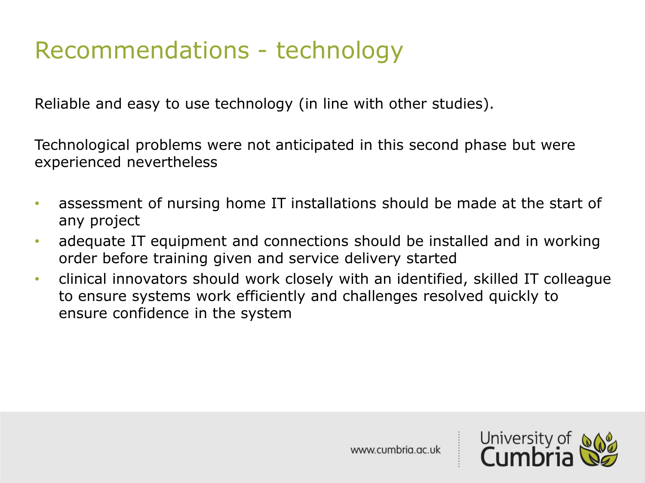## Recommendations - technology

Reliable and easy to use technology (in line with other studies).

Technological problems were not anticipated in this second phase but were experienced nevertheless

- assessment of nursing home IT installations should be made at the start of any project
- adequate IT equipment and connections should be installed and in working order before training given and service delivery started
- clinical innovators should work closely with an identified, skilled IT colleague to ensure systems work efficiently and challenges resolved quickly to ensure confidence in the system

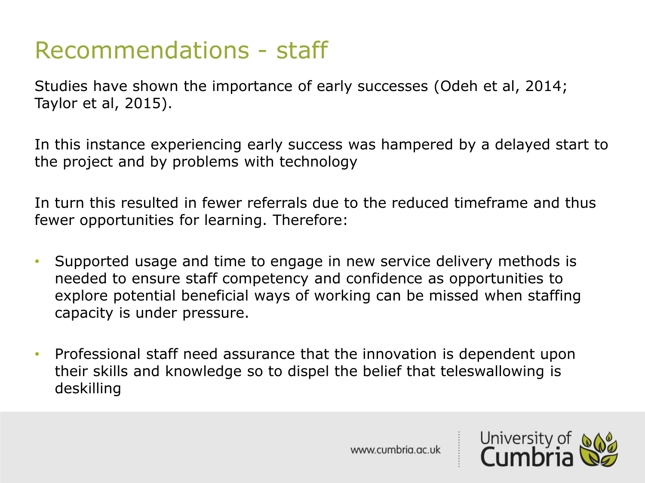## Recommendations - staff

Studies have shown the importance of early successes (Odeh et al, 2014; Taylor et al, 2015).

In this instance experiencing early success was hampered by a delayed start to the project and by problems with technology

In turn this resulted in fewer referrals due to the reduced timeframe and thus fewer opportunities for learning. Therefore:

- Supported usage and time to engage in new service delivery methods is needed to ensure staff competency and confidence as opportunities to explore potential beneficial ways of working can be missed when staffing capacity is under pressure.
- Professional staff need assurance that the innovation is dependent upon their skills and knowledge so to dispel the belief that teleswallowing is deskilling